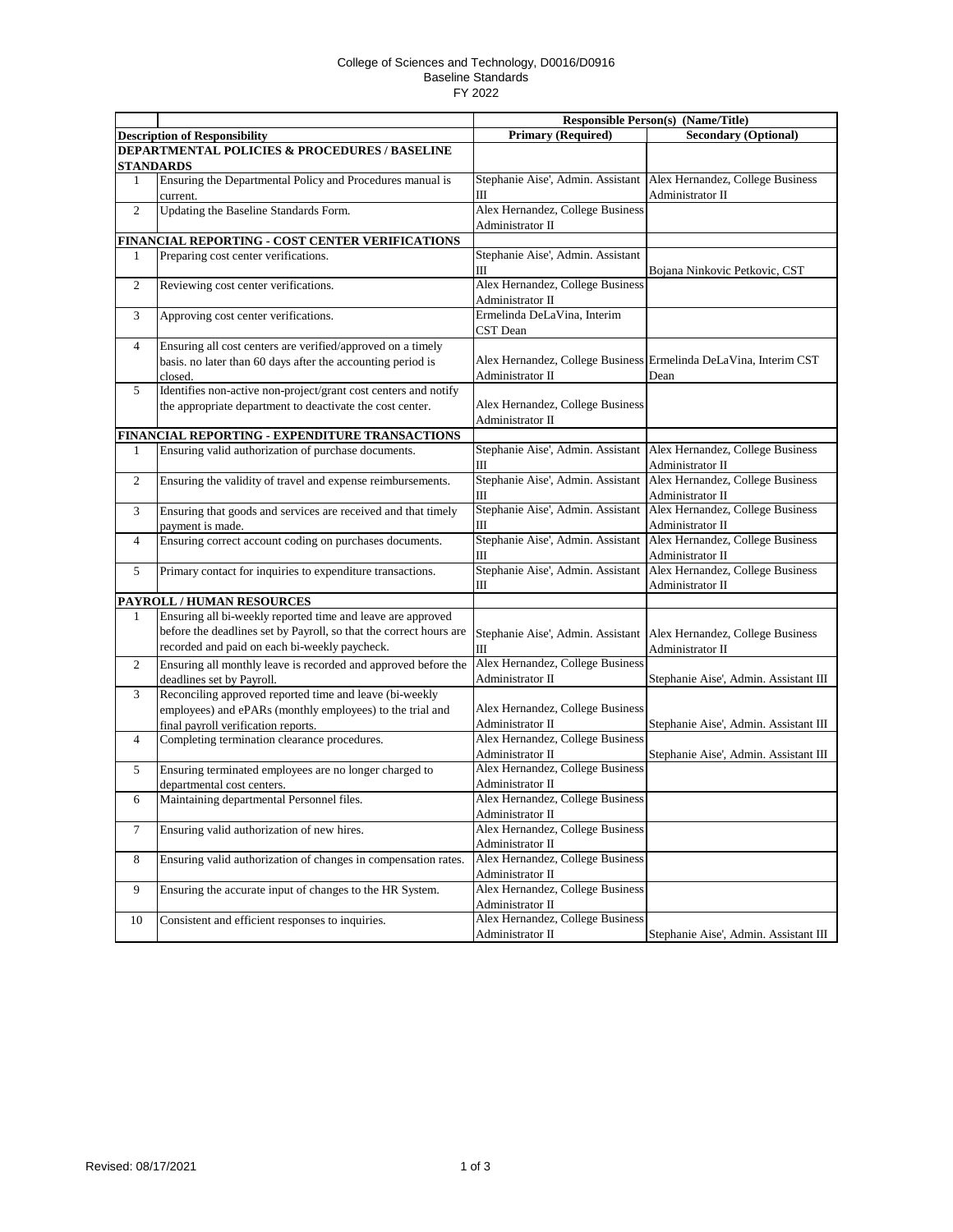## College of Sciences and Technology, D0016/D0916 Baseline Standards FY 2022

|                |                                                                                                                                                                                    | <b>Responsible Person(s) (Name/Title)</b>                                |                                                                          |
|----------------|------------------------------------------------------------------------------------------------------------------------------------------------------------------------------------|--------------------------------------------------------------------------|--------------------------------------------------------------------------|
|                | <b>Description of Responsibility</b>                                                                                                                                               | <b>Primary (Required)</b>                                                | <b>Secondary (Optional)</b>                                              |
|                | <b>DEPARTMENTAL POLICIES &amp; PROCEDURES / BASELINE</b><br><b>STANDARDS</b>                                                                                                       |                                                                          |                                                                          |
| 1              | Ensuring the Departmental Policy and Procedures manual is<br>current.                                                                                                              | Stephanie Aise', Admin. Assistant<br>Ш                                   | Alex Hernandez, College Business<br>Administrator II                     |
| 2              | Updating the Baseline Standards Form.                                                                                                                                              | Alex Hernandez, College Business<br>Administrator II                     |                                                                          |
|                | FINANCIAL REPORTING - COST CENTER VERIFICATIONS                                                                                                                                    |                                                                          |                                                                          |
| 1              | Preparing cost center verifications.                                                                                                                                               | Stephanie Aise', Admin. Assistant                                        |                                                                          |
| $\mathbf{2}$   | Reviewing cost center verifications.                                                                                                                                               | Ш<br>Alex Hernandez, College Business                                    | Bojana Ninkovic Petkovic, CST                                            |
| 3              | Approving cost center verifications.                                                                                                                                               | Administrator II<br>Ermelinda DeLaVina, Interim<br>CST Dean              |                                                                          |
| $\overline{4}$ | Ensuring all cost centers are verified/approved on a timely<br>basis, no later than 60 days after the accounting period is<br>closed.                                              | Administrator II                                                         | Alex Hernandez, College Business Ermelinda DeLaVina, Interim CST<br>Dean |
| 5              | Identifies non-active non-project/grant cost centers and notify<br>the appropriate department to deactivate the cost center.                                                       | Alex Hernandez, College Business<br>Administrator II                     |                                                                          |
|                | FINANCIAL REPORTING - EXPENDITURE TRANSACTIONS                                                                                                                                     |                                                                          |                                                                          |
| 1              | Ensuring valid authorization of purchase documents.                                                                                                                                | Stephanie Aise', Admin. Assistant<br>Ш                                   | Alex Hernandez, College Business<br>Administrator II                     |
| $\mathbf{2}$   | Ensuring the validity of travel and expense reimbursements.                                                                                                                        | Stephanie Aise', Admin. Assistant<br>Ш                                   | Alex Hernandez, College Business<br>Administrator II                     |
| 3              | Ensuring that goods and services are received and that timely<br>payment is made.                                                                                                  | Stephanie Aise', Admin. Assistant<br>Ш                                   | Alex Hernandez, College Business<br>Administrator II                     |
| $\overline{4}$ | Ensuring correct account coding on purchases documents.                                                                                                                            | Stephanie Aise', Admin. Assistant<br>Ш                                   | Alex Hernandez, College Business<br>Administrator II                     |
| 5              | Primary contact for inquiries to expenditure transactions.                                                                                                                         | Stephanie Aise', Admin. Assistant<br>Ш                                   | Alex Hernandez, College Business<br>Administrator II                     |
|                | PAYROLL / HUMAN RESOURCES                                                                                                                                                          |                                                                          |                                                                          |
| 1              | Ensuring all bi-weekly reported time and leave are approved<br>before the deadlines set by Payroll, so that the correct hours are<br>recorded and paid on each bi-weekly paycheck. | Stephanie Aise', Admin. Assistant<br>Ш                                   | Alex Hernandez, College Business<br>Administrator II                     |
| 2              | Ensuring all monthly leave is recorded and approved before the<br>deadlines set by Payroll.                                                                                        | Alex Hernandez, College Business<br>Administrator II                     | Stephanie Aise', Admin. Assistant III                                    |
| 3              | Reconciling approved reported time and leave (bi-weekly<br>employees) and ePARs (monthly employees) to the trial and<br>final payroll verification reports.                        | Alex Hernandez, College Business<br>Administrator II                     | Stephanie Aise', Admin. Assistant III                                    |
| $\overline{4}$ | Completing termination clearance procedures.                                                                                                                                       | Alex Hernandez, College Business<br>Administrator II                     | Stephanie Aise', Admin. Assistant III                                    |
| 5              | Ensuring terminated employees are no longer charged to<br>departmental cost centers.                                                                                               | Alex Hernandez, College Business<br>Administrator II                     |                                                                          |
| 6              | Maintaining departmental Personnel files.                                                                                                                                          | Alex Hernandez, College Business<br>Administrator II                     |                                                                          |
| $\tau$         | Ensuring valid authorization of new hires.                                                                                                                                         | Alex Hernandez, College Business<br>Administrator II                     |                                                                          |
| $\,8\,$        | Ensuring valid authorization of changes in compensation rates.                                                                                                                     | Alex Hernandez, College Business                                         |                                                                          |
| 9              | Ensuring the accurate input of changes to the HR System.                                                                                                                           | Administrator II<br>Alex Hernandez, College Business<br>Administrator II |                                                                          |
| 10             | Consistent and efficient responses to inquiries.                                                                                                                                   | Alex Hernandez, College Business<br>Administrator II                     | Stephanie Aise', Admin. Assistant III                                    |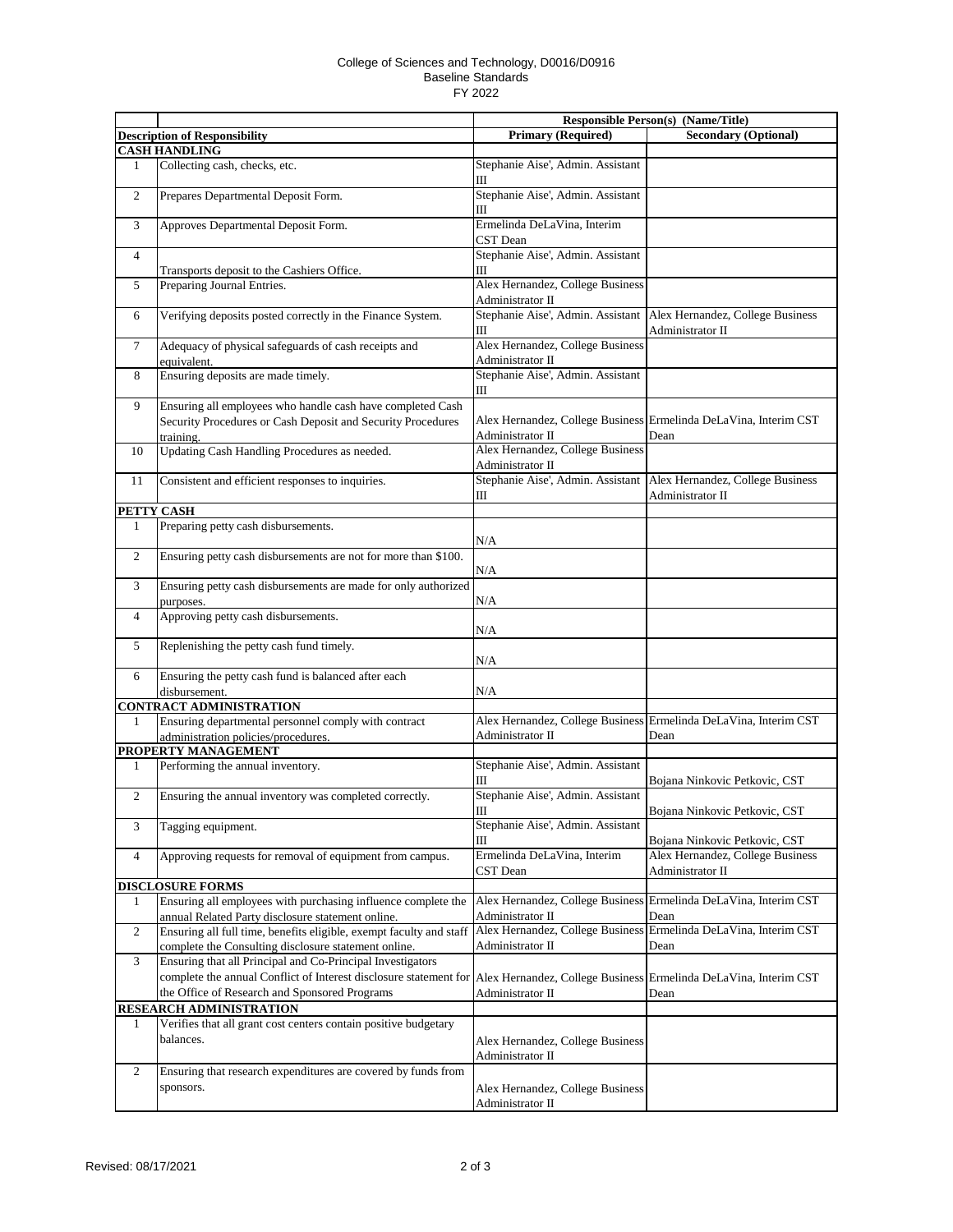## College of Sciences and Technology, D0016/D0916 Baseline Standards FY 2022

|                      |                                                                                                                    | Responsible Person(s) (Name/Title)                   |                                                                                          |
|----------------------|--------------------------------------------------------------------------------------------------------------------|------------------------------------------------------|------------------------------------------------------------------------------------------|
|                      | <b>Description of Responsibility</b>                                                                               | <b>Primary (Required)</b>                            | <b>Secondary (Optional)</b>                                                              |
| <b>CASH HANDLING</b> |                                                                                                                    |                                                      |                                                                                          |
| 1                    | Collecting cash, checks, etc.                                                                                      | Stephanie Aise', Admin. Assistant<br>Ш               |                                                                                          |
| 2                    | Prepares Departmental Deposit Form.                                                                                | Stephanie Aise', Admin. Assistant<br>Ш               |                                                                                          |
| 3                    | Approves Departmental Deposit Form.                                                                                | Ermelinda DeLaVina, Interim<br>CST Dean              |                                                                                          |
| $\overline{4}$       |                                                                                                                    | Stephanie Aise', Admin. Assistant                    |                                                                                          |
|                      | Transports deposit to the Cashiers Office.                                                                         | Ш                                                    |                                                                                          |
| 5                    | Preparing Journal Entries.                                                                                         | Alex Hernandez, College Business<br>Administrator II |                                                                                          |
| 6                    | Verifying deposits posted correctly in the Finance System.                                                         | Ш                                                    | Stephanie Aise', Admin. Assistant   Alex Hernandez, College Business<br>Administrator II |
| $\tau$               | Adequacy of physical safeguards of cash receipts and<br>equivalent.                                                | Alex Hernandez, College Business<br>Administrator II |                                                                                          |
| 8                    | Ensuring deposits are made timely.                                                                                 | Stephanie Aise', Admin. Assistant<br>Ш               |                                                                                          |
| 9                    | Ensuring all employees who handle cash have completed Cash                                                         |                                                      |                                                                                          |
|                      | Security Procedures or Cash Deposit and Security Procedures                                                        |                                                      | Alex Hernandez, College Business Ermelinda DeLaVina, Interim CST                         |
|                      | training.                                                                                                          | Administrator II                                     | Dean                                                                                     |
| 10                   | Updating Cash Handling Procedures as needed.                                                                       | Alex Hernandez, College Business                     |                                                                                          |
|                      |                                                                                                                    | Administrator II                                     | Stephanie Aise', Admin. Assistant   Alex Hernandez, College Business                     |
| 11                   | Consistent and efficient responses to inquiries.                                                                   | Ш                                                    | Administrator II                                                                         |
| PETTY CASH           |                                                                                                                    |                                                      |                                                                                          |
| 1                    | Preparing petty cash disbursements.                                                                                |                                                      |                                                                                          |
|                      |                                                                                                                    | N/A                                                  |                                                                                          |
| $\overline{c}$       | Ensuring petty cash disbursements are not for more than \$100.                                                     | N/A                                                  |                                                                                          |
| 3                    | Ensuring petty cash disbursements are made for only authorized                                                     |                                                      |                                                                                          |
|                      | purposes.                                                                                                          | N/A                                                  |                                                                                          |
| $\overline{4}$       | Approving petty cash disbursements.                                                                                | N/A                                                  |                                                                                          |
| 5                    | Replenishing the petty cash fund timely.                                                                           | N/A                                                  |                                                                                          |
| 6                    | Ensuring the petty cash fund is balanced after each<br>disbursement.                                               | N/A                                                  |                                                                                          |
|                      | <b>CONTRACT ADMINISTRATION</b>                                                                                     |                                                      |                                                                                          |
| 1                    | Ensuring departmental personnel comply with contract                                                               |                                                      | Alex Hernandez, College Business Ermelinda DeLaVina, Interim CST                         |
|                      | administration policies/procedures.                                                                                | Administrator II                                     | Dean                                                                                     |
|                      | PROPERTY MANAGEMENT                                                                                                |                                                      |                                                                                          |
| 1                    | Performing the annual inventory.                                                                                   | Stephanie Aise', Admin. Assistant<br>Ш               | Bojana Ninkovic Petkovic, CST                                                            |
| 2                    | Ensuring the annual inventory was completed correctly.                                                             | Stephanie Aise', Admin. Assistant<br>Ш               | Bojana Ninkovic Petkovic, CST                                                            |
| 3                    | Tagging equipment.                                                                                                 | Stephanie Aise', Admin. Assistant<br>Ш               | Bojana Ninkovic Petkovic, CST                                                            |
| $\overline{4}$       | Approving requests for removal of equipment from campus.                                                           | Ermelinda DeLaVina, Interim<br>CST Dean              | Alex Hernandez, College Business<br>Administrator II                                     |
|                      | <b>DISCLOSURE FORMS</b>                                                                                            |                                                      |                                                                                          |
| 1                    | Ensuring all employees with purchasing influence complete the<br>annual Related Party disclosure statement online. | Administrator II                                     | Alex Hernandez, College Business Ermelinda DeLaVina, Interim CST<br>Dean                 |
| 2                    | Ensuring all full time, benefits eligible, exempt faculty and staff                                                |                                                      | Alex Hernandez, College Business Ermelinda DeLaVina, Interim CST                         |
|                      | complete the Consulting disclosure statement online.                                                               | Administrator II                                     | Dean                                                                                     |
| 3                    | Ensuring that all Principal and Co-Principal Investigators                                                         |                                                      |                                                                                          |
|                      | complete the annual Conflict of Interest disclosure statement for<br>the Office of Research and Sponsored Programs | Administrator II                                     | Alex Hernandez, College Business Ermelinda DeLaVina, Interim CST<br>Dean                 |
|                      | RESEARCH ADMINISTRATION                                                                                            |                                                      |                                                                                          |
| 1                    | Verifies that all grant cost centers contain positive budgetary<br>balances.                                       | Alex Hernandez, College Business<br>Administrator II |                                                                                          |
| 2                    | Ensuring that research expenditures are covered by funds from                                                      |                                                      |                                                                                          |
|                      | sponsors.                                                                                                          | Alex Hernandez, College Business<br>Administrator II |                                                                                          |